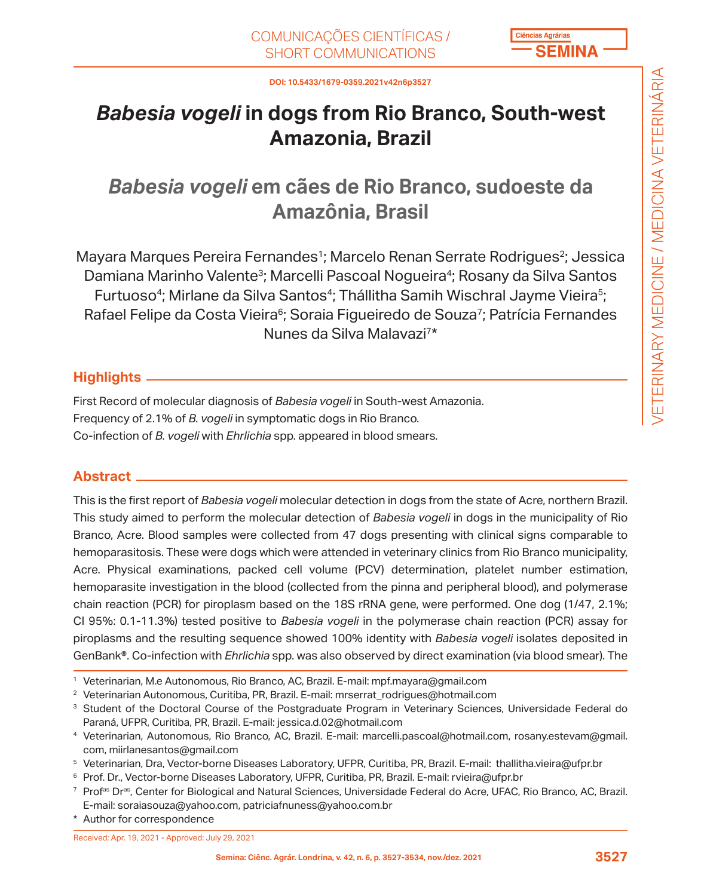

**DOI: 10.5433/1679-0359.2021v42n6p3527**

# *Babesia vogeli* **in dogs from Rio Branco, South-west Amazonia, Brazil**

# *Babesia vogeli* **em cães de Rio Branco, sudoeste da Amazônia, Brasil**

Mayara Marques Pereira Fernandes<sup>1</sup>; Marcelo Renan Serrate Rodrigues<sup>2</sup>; Jessica Damiana Marinho Valente<sup>3</sup>; Marcelli Pascoal Nogueira<sup>4</sup>; Rosany da Silva Santos Furtuoso<sup>4</sup>; Mirlane da Silva Santos<sup>4</sup>; Thállitha Samih Wischral Jayme Vieira<sup>5</sup>; Rafael Felipe da Costa Vieira<sup>6</sup>; Soraia Figueiredo de Souza<sup>7</sup>; Patrícia Fernandes Nunes da Silva Malavazi7\*

## **Highlights**

First Record of molecular diagnosis of *Babesia vogeli* in South-west Amazonia. Frequency of 2.1% of *B. vogeli* in symptomatic dogs in Rio Branco. Co-infection of *B. vogeli* with *Ehrlichia* spp. appeared in blood smears.

## **Abstract**

This is the first report of *Babesia vogeli* molecular detection in dogs from the state of Acre, northern Brazil. This study aimed to perform the molecular detection of *Babesia vogeli* in dogs in the municipality of Rio Branco, Acre. Blood samples were collected from 47 dogs presenting with clinical signs comparable to hemoparasitosis. These were dogs which were attended in veterinary clinics from Rio Branco municipality, Acre. Physical examinations, packed cell volume (PCV) determination, platelet number estimation, hemoparasite investigation in the blood (collected from the pinna and peripheral blood), and polymerase chain reaction (PCR) for piroplasm based on the 18S rRNA gene, were performed. One dog (1/47, 2.1%; CI 95%: 0.1-11.3%) tested positive to *Babesia vogeli* in the polymerase chain reaction (PCR) assay for piroplasms and the resulting sequence showed 100% identity with *Babesia vogeli* isolates deposited in GenBank®. Co-infection with *Ehrlichia* spp. was also observed by direct examination (via blood smear). The

Received: Apr. 19, 2021 - Approved: July 29, 2021

<sup>1</sup> Veterinarian, M.e Autonomous, Rio Branco, AC, Brazil. E-mail: mpf.mayara@gmail.com

<sup>2</sup> Veterinarian Autonomous, Curitiba, PR, Brazil. E-mail: mrserrat\_rodrigues@hotmail.com

<sup>&</sup>lt;sup>3</sup> Student of the Doctoral Course of the Postgraduate Program in Veterinary Sciences, Universidade Federal do Paraná, UFPR, Curitiba, PR, Brazil. E-mail: jessica.d.02@hotmail.com

<sup>4</sup> Veterinarian, Autonomous, Rio Branco, AC, Brazil. E-mail: marcelli.pascoal@hotmail.com, rosany.estevam@gmail. com, miirlanesantos@gmail.com

<sup>5</sup> Veterinarian, Dra, Vector-borne Diseases Laboratory, UFPR, Curitiba, PR, Brazil. E-mail: thallitha.vieira@ufpr.br

<sup>6</sup> Prof. Dr., Vector-borne Diseases Laboratory, UFPR, Curitiba, PR, Brazil. E-mail: rvieira@ufpr.br

<sup>&</sup>lt;sup>7</sup> Prof<sup>as</sup> Dr<sup>as</sup>, Center for Biological and Natural Sciences, Universidade Federal do Acre, UFAC, Rio Branco, AC, Brazil. E-mail: soraiasouza@yahoo.com, patriciafnuness@yahoo.com.br

<sup>\*</sup> Author for correspondence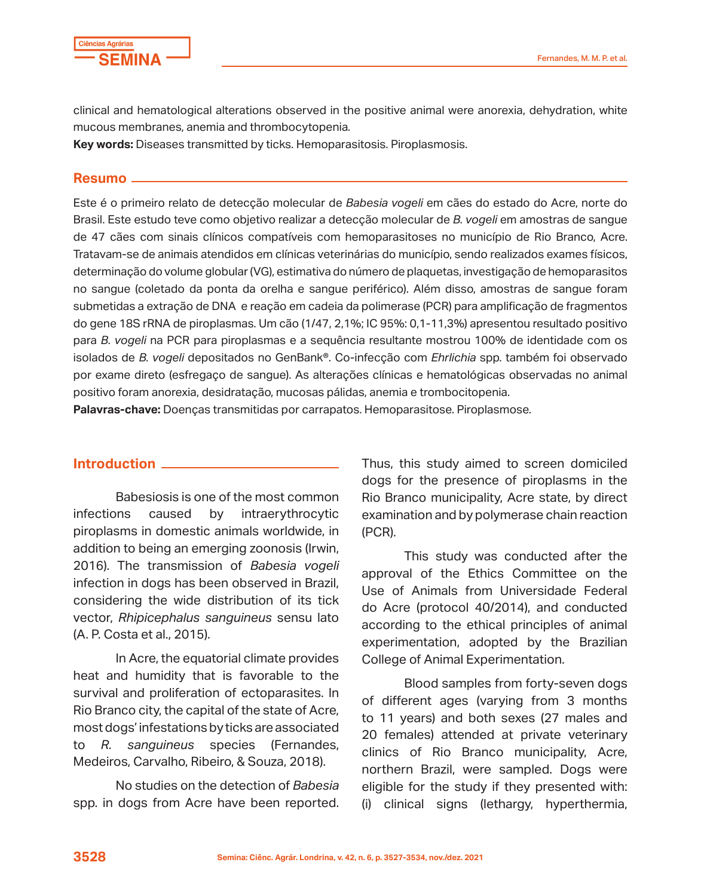

clinical and hematological alterations observed in the positive animal were anorexia, dehydration, white mucous membranes, anemia and thrombocytopenia*.*

**Key words:** Diseases transmitted by ticks. Hemoparasitosis. Piroplasmosis.

#### **Resumo**

Este é o primeiro relato de detecção molecular de *Babesia vogeli* em cães do estado do Acre, norte do Brasil. Este estudo teve como objetivo realizar a detecção molecular de *B. vogeli* em amostras de sangue de 47 cães com sinais clínicos compatíveis com hemoparasitoses no município de Rio Branco, Acre. Tratavam-se de animais atendidos em clínicas veterinárias do município, sendo realizados exames físicos, determinação do volume globular (VG), estimativa do número de plaquetas, investigação de hemoparasitos no sangue (coletado da ponta da orelha e sangue periférico). Além disso, amostras de sangue foram submetidas a extração de DNA e reação em cadeia da polimerase (PCR) para amplificação de fragmentos do gene 18S rRNA de piroplasmas. Um cão (1/47, 2,1%; IC 95%: 0,1-11,3%) apresentou resultado positivo para *B. vogeli* na PCR para piroplasmas e a sequência resultante mostrou 100% de identidade com os isolados de *B. vogeli* depositados no GenBank®. Co-infecção com *Ehrlichia* spp. também foi observado por exame direto (esfregaço de sangue). As alterações clínicas e hematológicas observadas no animal positivo foram anorexia, desidratação, mucosas pálidas, anemia e trombocitopenia.

**Palavras-chave:** Doenças transmitidas por carrapatos. Hemoparasitose. Piroplasmose.

### **Introduction**

Babesiosis is one of the most common infections caused by intraerythrocytic piroplasms in domestic animals worldwide, in addition to being an emerging zoonosis (Irwin, 2016). The transmission of *Babesia vogeli*  infection in dogs has been observed in Brazil, considering the wide distribution of its tick vector, *Rhipicephalus sanguineus* sensu lato (A. P. Costa et al., 2015).

In Acre, the equatorial climate provides heat and humidity that is favorable to the survival and proliferation of ectoparasites. In Rio Branco city, the capital of the state of Acre, most dogs' infestations by ticks are associated to *R. sanguineus* species (Fernandes, Medeiros, Carvalho, Ribeiro, & Souza, 2018).

No studies on the detection of *Babesia*  spp. in dogs from Acre have been reported. Thus, this study aimed to screen domiciled dogs for the presence of piroplasms in the Rio Branco municipality, Acre state, by direct examination and by polymerase chain reaction (PCR).

This study was conducted after the approval of the Ethics Committee on the Use of Animals from Universidade Federal do Acre (protocol 40/2014), and conducted according to the ethical principles of animal experimentation, adopted by the Brazilian College of Animal Experimentation.

Blood samples from forty-seven dogs of different ages (varying from 3 months to 11 years) and both sexes (27 males and 20 females) attended at private veterinary clinics of Rio Branco municipality, Acre, northern Brazil, were sampled. Dogs were eligible for the study if they presented with: (i) clinical signs (lethargy, hyperthermia,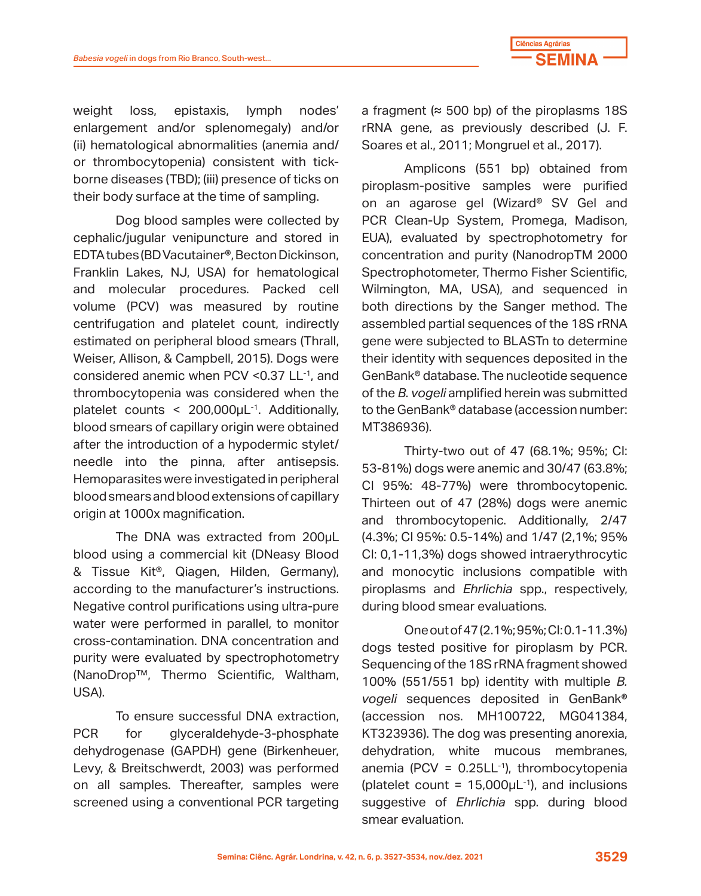

weight loss, epistaxis, lymph nodes' enlargement and/or splenomegaly) and/or (ii) hematological abnormalities (anemia and/ or thrombocytopenia) consistent with tickborne diseases (TBD); (iii) presence of ticks on their body surface at the time of sampling.

Dog blood samples were collected by cephalic/jugular venipuncture and stored in EDTA tubes (BD Vacutainer®, Becton Dickinson, Franklin Lakes, NJ, USA) for hematological and molecular procedures. Packed cell volume (PCV) was measured by routine centrifugation and platelet count, indirectly estimated on peripheral blood smears (Thrall, Weiser, Allison, & Campbell, 2015). Dogs were considered anemic when PCV < 0.37 LL<sup>-1</sup>, and thrombocytopenia was considered when the platelet counts  $\leq 200,000 \mu L^{-1}$ . Additionally, blood smears of capillary origin were obtained after the introduction of a hypodermic stylet/ needle into the pinna, after antisepsis. Hemoparasites were investigated in peripheral blood smears and blood extensions of capillary origin at 1000x magnification.

The DNA was extracted from 200μL blood using a commercial kit (DNeasy Blood & Tissue Kit®, Qiagen, Hilden, Germany), according to the manufacturer's instructions. Negative control purifications using ultra-pure water were performed in parallel, to monitor cross-contamination. DNA concentration and purity were evaluated by spectrophotometry (NanoDrop™, Thermo Scientific, Waltham, USA).

To ensure successful DNA extraction, PCR for glyceraldehyde-3-phosphate dehydrogenase (GAPDH) gene (Birkenheuer, Levy, & Breitschwerdt, 2003) was performed on all samples. Thereafter, samples were screened using a conventional PCR targeting

a fragment ( $\approx$  500 bp) of the piroplasms 18S rRNA gene, as previously described (J. F. Soares et al., 2011; Mongruel et al., 2017).

Amplicons (551 bp) obtained from piroplasm-positive samples were purified on an agarose gel (Wizard® SV Gel and PCR Clean-Up System, Promega, Madison, EUA), evaluated by spectrophotometry for concentration and purity (NanodropTM 2000 Spectrophotometer, Thermo Fisher Scientific, Wilmington, MA, USA), and sequenced in both directions by the Sanger method. The assembled partial sequences of the 18S rRNA gene were subjected to BLASTn to determine their identity with sequences deposited in the GenBank® database. The nucleotide sequence of the *B. vogeli* amplified herein was submitted to the GenBank® database (accession number: MT386936).

Thirty-two out of 47 (68.1%; 95%; CI: 53-81%) dogs were anemic and 30/47 (63.8%; CI 95%: 48-77%) were thrombocytopenic. Thirteen out of 47 (28%) dogs were anemic and thrombocytopenic. Additionally, 2/47 (4.3%; CI 95%: 0.5-14%) and 1/47 (2,1%; 95% CI: 0,1-11,3%) dogs showed intraerythrocytic and monocytic inclusions compatible with piroplasms and *Ehrlichia* spp., respectively, during blood smear evaluations.

One out of 47 (2.1%; 95%; CI: 0.1-11.3%) dogs tested positive for piroplasm by PCR. Sequencing of the 18S rRNA fragment showed 100% (551/551 bp) identity with multiple *B. vogeli* sequences deposited in GenBank® (accession nos. MH100722, MG041384, KT323936). The dog was presenting anorexia, dehydration, white mucous membranes, anemia (PCV =  $0.25LL^{-1}$ ), thrombocytopenia (platelet count =  $15,000 \mu L^{-1}$ ), and inclusions suggestive of *Ehrlichia* spp. during blood smear evaluation.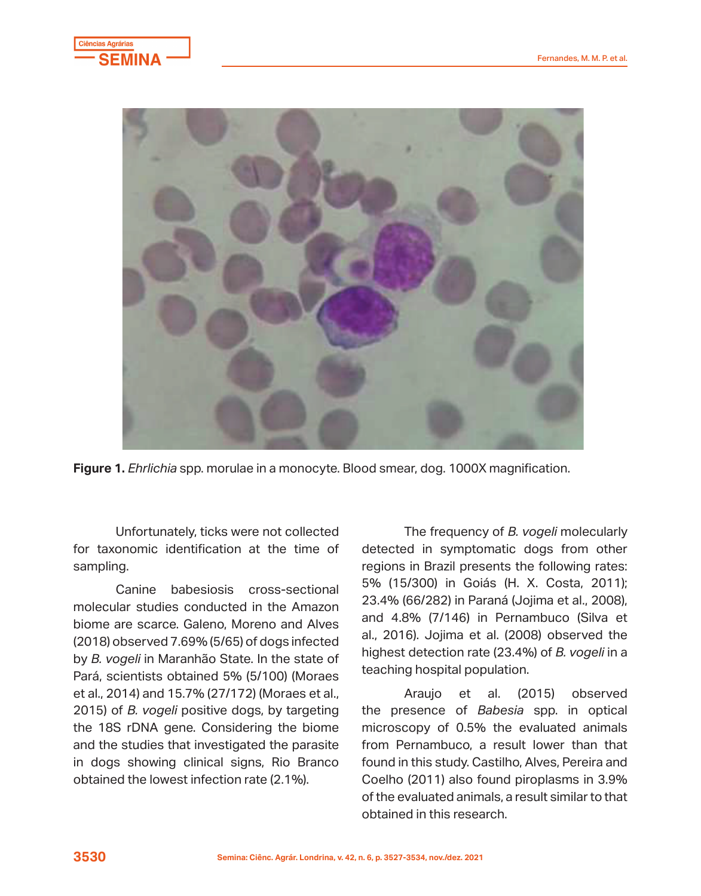



**Figure 1.** *Ehrlichia* spp. morulae in a monocyte. Blood smear, dog. 1000X magnification.

for taxonomic identification at the time of detected in symptomatic dogs from other Unfortunately, ticks were not collected for taxonomic identification at the time of sampling.

molecular studies conducted in the Amazon<br>biome are searce Galene Mereno and Alves and 4.8% (7/146) in Pernambuco (Silva et (2018) observed 7.69% (5/65) of dogs infected al., 2016). Jojima et al. (2008) observed the by *B. vogeli* in Marannao State. In the state of the biome and the biome and the studies that is the biome and the biome and the biome and the biome and the biome and the biome and the studies that is the studies that is Canine babesiosis cross-sectional molecular studies conducted in the Amazon biome are scarce. Galeno, Moreno and Alves by *B. vogeli* in Maranhão State. In the state of Pará, scientists obtained 5% (5/100) (Moraes et al., 2014) and 15.7% (27/172) (Moraes et al., 2015) of *B. vogeli* positive dogs, by targeting the 18S rDNA gene. Considering the biome and the studies that investigated the parasite in dogs showing clinical signs, Rio Branco obtained the lowest infection rate (2.1%).

Canine babesiosis cross-sectional 5% (15/300) in Goiás (H. X. Costa, 2011); The frequency of *B. vogeli* molecularly regions in Brazil presents the following rates: 23.4% (66/282) in Paraná (Jojima et al., 2008), al., 2016). Jojima et al. (2008) observed the highest detection rate (23.4%) of *B. vogeli* in a

> Araujo et al. (2015) observed the presence of *Babesia* spp. in optical microscopy of 0.5% the evaluated animals from Pernambuco, a result lower than that found in this study. Castilho, Alves, Pereira and Coelho (2011) also found piroplasms in 3.9% of the evaluated animals, a result similar to that obtained in this research.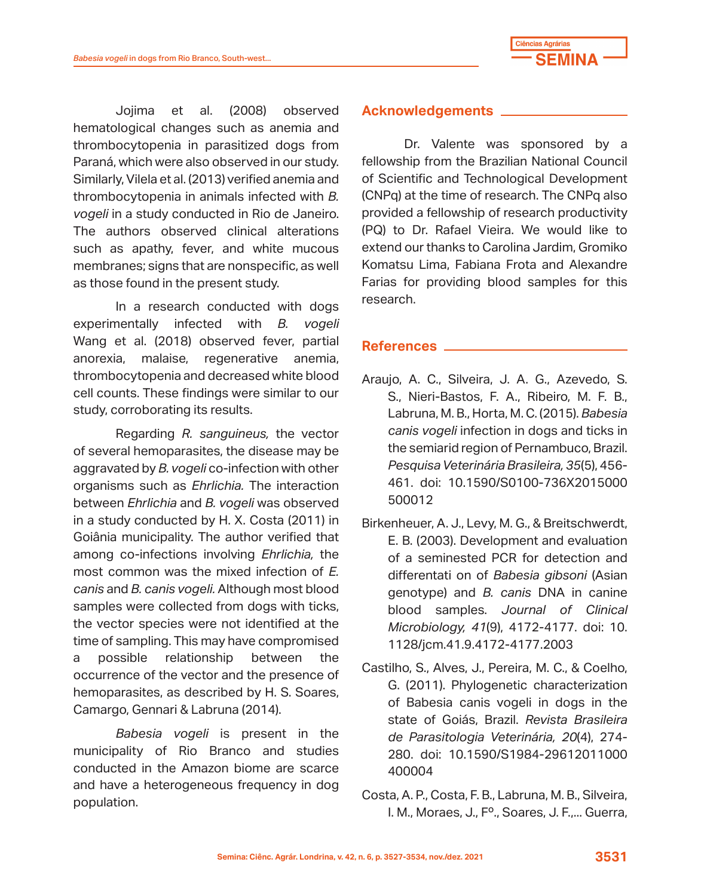

Jojima et al. (2008) observed hematological changes such as anemia and thrombocytopenia in parasitized dogs from Paraná, which were also observed in our study. Similarly, Vilela et al. (2013) verified anemia and thrombocytopenia in animals infected with *B. vogeli* in a study conducted in Rio de Janeiro. The authors observed clinical alterations such as apathy, fever, and white mucous membranes; signs that are nonspecific, as well as those found in the present study.

In a research conducted with dogs experimentally infected with *B. vogeli*  Wang et al. (2018) observed fever, partial anorexia, malaise, regenerative anemia, thrombocytopenia and decreased white blood cell counts. These findings were similar to our study, corroborating its results.

Regarding *R. sanguineus,* the vector of several hemoparasites, the disease may be aggravated by *B. vogeli* co-infection with other organisms such as *Ehrlichia.* The interaction between *Ehrlichia* and *B. vogeli* was observed in a study conducted by H. X. Costa (2011) in Goiânia municipality. The author verified that among co-infections involving *Ehrlichia,* the most common was the mixed infection of *E. canis* and *B. canis vogeli.* Although most blood samples were collected from dogs with ticks, the vector species were not identified at the time of sampling. This may have compromised a possible relationship between the occurrence of the vector and the presence of hemoparasites, as described by H. S. Soares, Camargo, Gennari & Labruna (2014).

*Babesia vogeli* is present in the municipality of Rio Branco and studies conducted in the Amazon biome are scarce and have a heterogeneous frequency in dog population.

### **Acknowledgements**

Dr. Valente was sponsored by a fellowship from the Brazilian National Council of Scientific and Technological Development (CNPq) at the time of research. The CNPq also provided a fellowship of research productivity (PQ) to Dr. Rafael Vieira. We would like to extend our thanks to Carolina Jardim, Gromiko Komatsu Lima, Fabiana Frota and Alexandre Farias for providing blood samples for this research.

## **References**

- Araujo, A. C., Silveira, J. A. G., Azevedo, S. S., Nieri-Bastos, F. A., Ribeiro, M. F. B., Labruna, M. B., Horta, M. C. (2015). *Babesia canis vogeli* infection in dogs and ticks in the semiarid region of Pernambuco, Brazil. *Pesquisa Veterinária Brasileira, 35*(5), 456- 461. doi: 10.1590/S0100-736X2015000 500012
- Birkenheuer, A. J., Levy, M. G., & Breitschwerdt, E. B. (2003). Development and evaluation of a seminested PCR for detection and differentati on of *Babesia gibsoni* (Asian genotype) and *B. canis* DNA in canine blood samples. *Journal of Clinical Microbiology, 41*(9), 4172-4177. doi: 10. 1128/jcm.41.9.4172-4177.2003
- Castilho, S., Alves, J., Pereira, M. C., & Coelho, G. (2011). Phylogenetic characterization of Babesia canis vogeli in dogs in the state of Goiás, Brazil. *Revista Brasileira de Parasitologia Veterinária, 20*(4), 274- 280. doi: 10.1590/S1984-29612011000 400004
- Costa, A. P., Costa, F. B., Labruna, M. B., Silveira, I. M., Moraes, J., Fº., Soares, J. F.,... Guerra,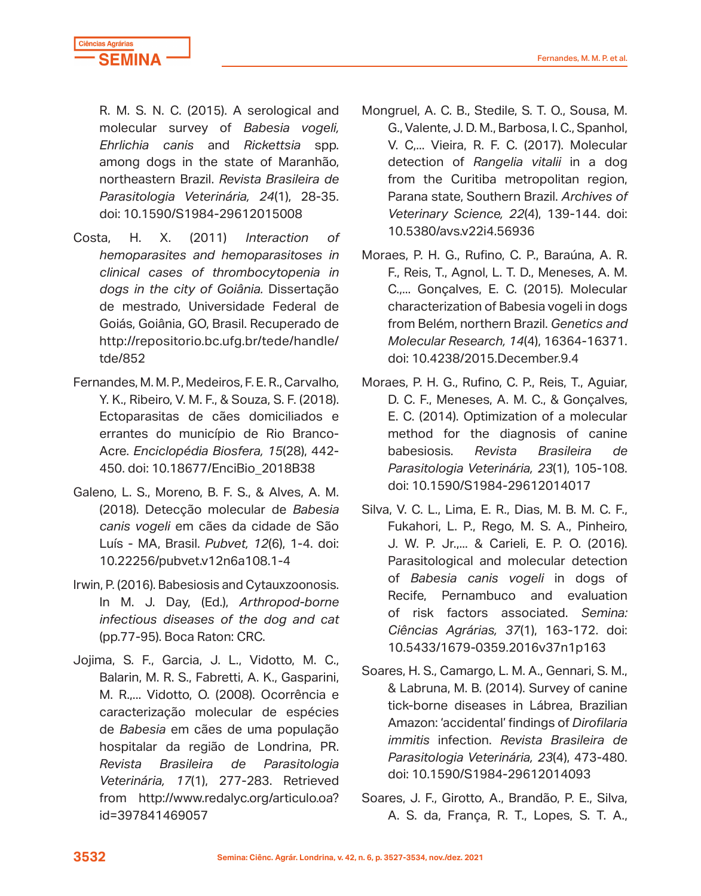

R. M. S. N. C. (2015). A serological and molecular survey of *Babesia vogeli, Ehrlichia canis* and *Rickettsia* spp. among dogs in the state of Maranhão, northeastern Brazil. *Revista Brasileira de Parasitologia Veterinária, 24*(1), 28-35. doi: 10.1590/S1984-29612015008

- Costa, H. X. (2011) *Interaction of hemoparasites and hemoparasitoses in clinical cases of thrombocytopenia in dogs in the city of Goiânia.* Dissertação de mestrado, Universidade Federal de Goiás, Goiânia, GO, Brasil. Recuperado de http://repositorio.bc.ufg.br/tede/handle/ tde/852
- Fernandes, M. M. P., Medeiros, F. E. R., Carvalho, Y. K., Ribeiro, V. M. F., & Souza, S. F. (2018). Ectoparasitas de cães domiciliados e errantes do município de Rio Branco-Acre. *Enciclopédia Biosfera, 15*(28), 442- 450. doi: 10.18677/EnciBio\_2018B38
- Galeno, L. S., Moreno, B. F. S., & Alves, A. M. (2018). Detecção molecular de *Babesia canis vogeli* em cães da cidade de São Luís - MA, Brasil. *Pubvet, 12*(6), 1-4. doi: 10.22256/pubvet.v12n6a108.1-4
- Irwin, P. (2016). Babesiosis and Cytauxzoonosis. In M. J. Day, (Ed.), *Arthropod-borne infectious diseases of the dog and cat* (pp.77-95). Boca Raton: CRC.
- Jojima, S. F., Garcia, J. L., Vidotto, M. C., Balarin, M. R. S., Fabretti, A. K., Gasparini, M. R.,... Vidotto, O. (2008). Ocorrência e caracterização molecular de espécies de *Babesia* em cães de uma população hospitalar da região de Londrina, PR. *Revista Brasileira de Parasitologia Veterinária, 17*(1), 277-283. Retrieved from http://www.redalyc.org/articulo.oa? id=397841469057
- Mongruel, A. C. B., Stedile, S. T. O., Sousa, M. G., Valente, J. D. M., Barbosa, I. C., Spanhol, V. C,... Vieira, R. F. C. (2017). Molecular detection of *Rangelia vitalii* in a dog from the Curitiba metropolitan region, Parana state, Southern Brazil. *Archives of Veterinary Science, 22*(4), 139-144. doi: 10.5380/avs.v22i4.56936
- Moraes, P. H. G., Rufino, C. P., Baraúna, A. R. F., Reis, T., Agnol, L. T. D., Meneses, A. M. C.,... Gonçalves, E. C. (2015). Molecular characterization of Babesia vogeli in dogs from Belém, northern Brazil. *Genetics and Molecular Research, 14*(4), 16364-16371. doi: 10.4238/2015.December.9.4
- Moraes, P. H. G., Rufino, C. P., Reis, T., Aguiar, D. C. F., Meneses, A. M. C., & Gonçalves, E. C. (2014). Optimization of a molecular method for the diagnosis of canine babesiosis. *Revista Brasileira de Parasitologia Veterinária, 23*(1), 105-108. doi: 10.1590/S1984-29612014017
- Silva, V. C. L., Lima, E. R., Dias, M. B. M. C. F., Fukahori, L. P., Rego, M. S. A., Pinheiro, J. W. P. Jr.,... & Carieli, E. P. O. (2016). Parasitological and molecular detection of *Babesia canis vogeli* in dogs of Recife, Pernambuco and evaluation of risk factors associated. *Semina: Ciências Agrárias, 37*(1), 163-172. doi: 10.5433/1679-0359.2016v37n1p163
- Soares, H. S., Camargo, L. M. A., Gennari, S. M., & Labruna, M. B. (2014). Survey of canine tick-borne diseases in Lábrea, Brazilian Amazon: 'accidental' findings of *Dirofilaria immitis* infection. *Revista Brasileira de Parasitologia Veterinária, 23*(4), 473-480. doi: 10.1590/S1984-29612014093
- Soares, J. F., Girotto, A., Brandão, P. E., Silva, A. S. da, França, R. T., Lopes, S. T. A.,